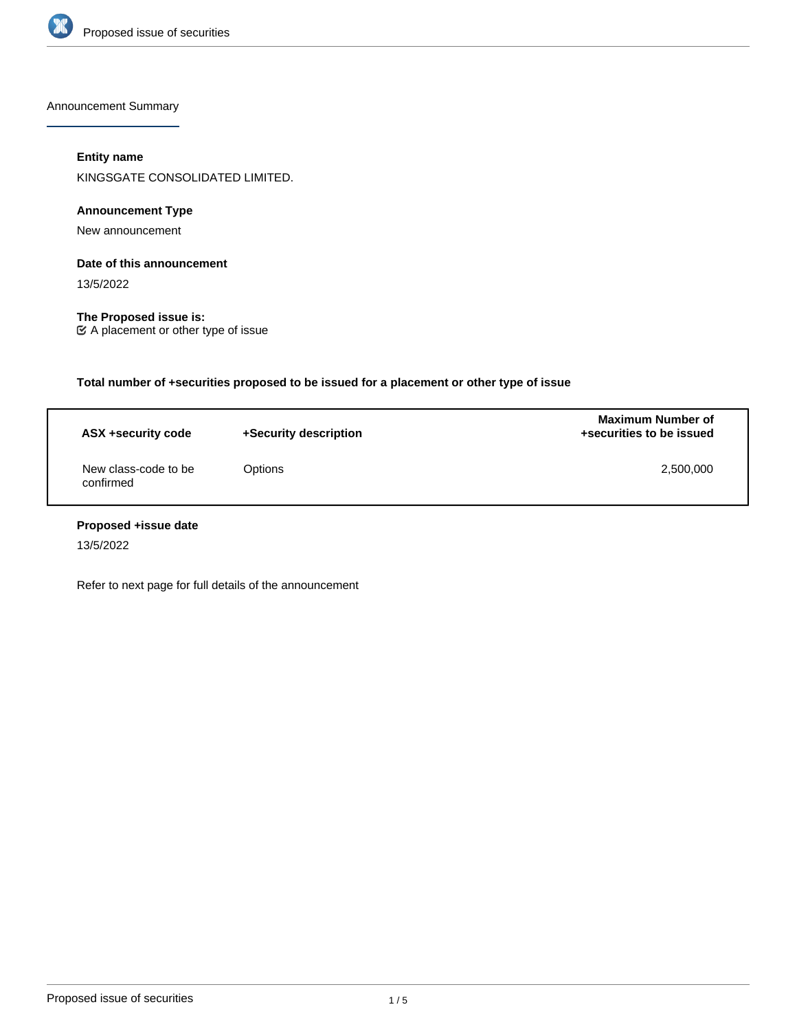

Announcement Summary

## **Entity name**

KINGSGATE CONSOLIDATED LIMITED.

## **Announcement Type**

New announcement

## **Date of this announcement**

13/5/2022

**The Proposed issue is:** A placement or other type of issue

**Total number of +securities proposed to be issued for a placement or other type of issue**

| ASX +security code                | +Security description | <b>Maximum Number of</b><br>+securities to be issued |  |
|-----------------------------------|-----------------------|------------------------------------------------------|--|
| New class-code to be<br>confirmed | Options               | 2,500,000                                            |  |

# **Proposed +issue date**

13/5/2022

Refer to next page for full details of the announcement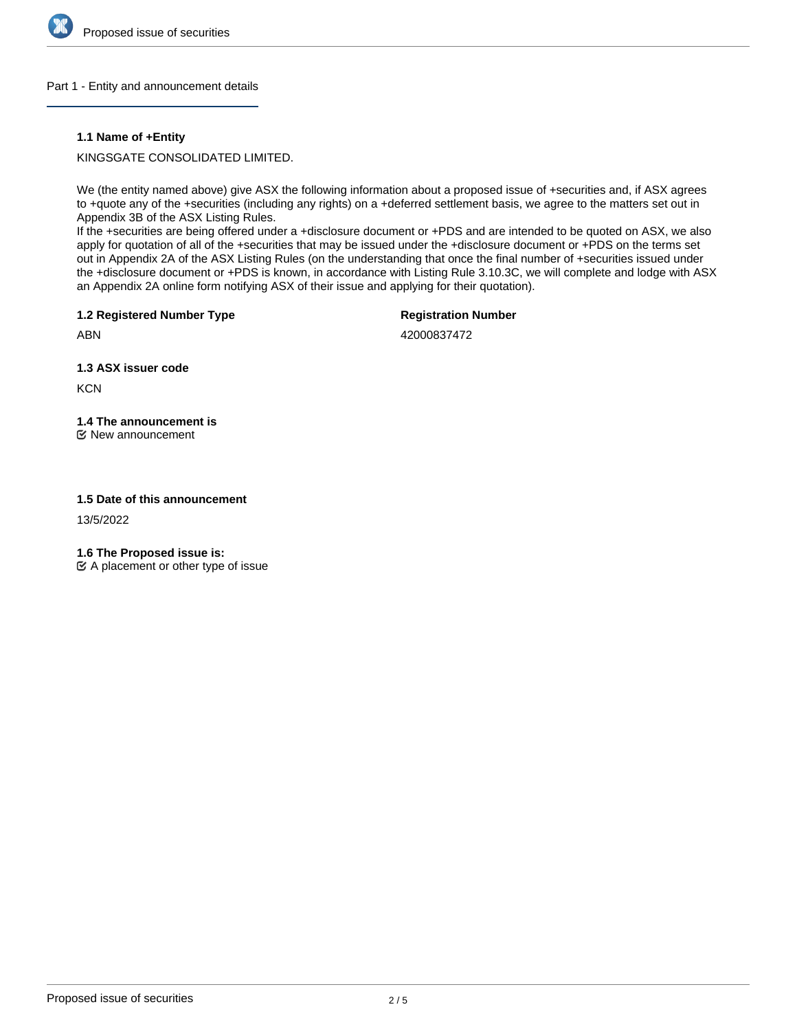

## Part 1 - Entity and announcement details

## **1.1 Name of +Entity**

KINGSGATE CONSOLIDATED LIMITED.

We (the entity named above) give ASX the following information about a proposed issue of +securities and, if ASX agrees to +quote any of the +securities (including any rights) on a +deferred settlement basis, we agree to the matters set out in Appendix 3B of the ASX Listing Rules.

If the +securities are being offered under a +disclosure document or +PDS and are intended to be quoted on ASX, we also apply for quotation of all of the +securities that may be issued under the +disclosure document or +PDS on the terms set out in Appendix 2A of the ASX Listing Rules (on the understanding that once the final number of +securities issued under the +disclosure document or +PDS is known, in accordance with Listing Rule 3.10.3C, we will complete and lodge with ASX an Appendix 2A online form notifying ASX of their issue and applying for their quotation).

**1.2 Registered Number Type**

**Registration Number**

ABN

42000837472

**1.3 ASX issuer code**

**KCN** 

# **1.4 The announcement is**

New announcement

## **1.5 Date of this announcement**

13/5/2022

**1.6 The Proposed issue is:**

 $\mathfrak{C}$  A placement or other type of issue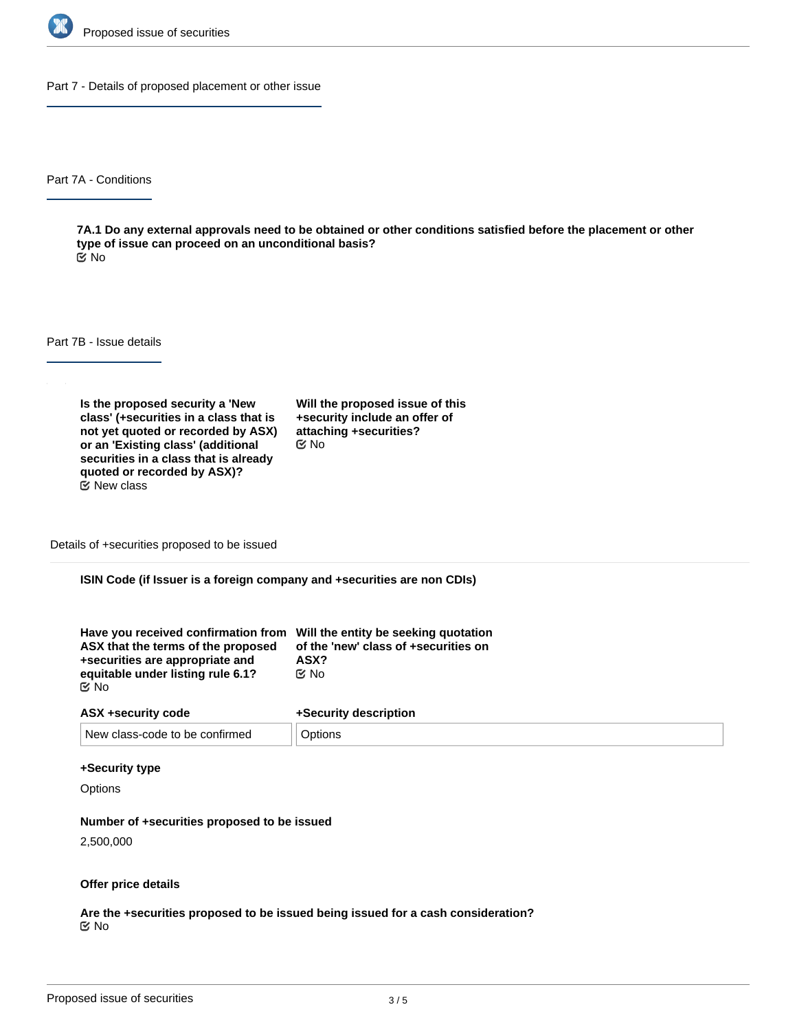

Part 7 - Details of proposed placement or other issue

Part 7A - Conditions

**7A.1 Do any external approvals need to be obtained or other conditions satisfied before the placement or other type of issue can proceed on an unconditional basis?** No

Part 7B - Issue details

**Is the proposed security a 'New class' (+securities in a class that is not yet quoted or recorded by ASX) or an 'Existing class' (additional securities in a class that is already quoted or recorded by ASX)?**  $E$  New class

**Will the proposed issue of this +security include an offer of attaching +securities?** No

Details of +securities proposed to be issued

**ISIN Code (if Issuer is a foreign company and +securities are non CDIs)**

| Have you received confirmation from Will the entity be seeking quotation<br>ASX that the terms of the proposed<br>+securities are appropriate and | of the 'new' class of +securities on<br>ASX? |
|---------------------------------------------------------------------------------------------------------------------------------------------------|----------------------------------------------|
| equitable under listing rule 6.1?                                                                                                                 | ় No                                         |
| C⁄No                                                                                                                                              |                                              |

| ASX +security code             | +Security description |
|--------------------------------|-----------------------|
| New class-code to be confirmed | Options               |

#### **+Security type**

**Options** 

#### **Number of +securities proposed to be issued**

2,500,000

#### **Offer price details**

**Are the +securities proposed to be issued being issued for a cash consideration?** No

**Please describe the consideration being provided for the +securities**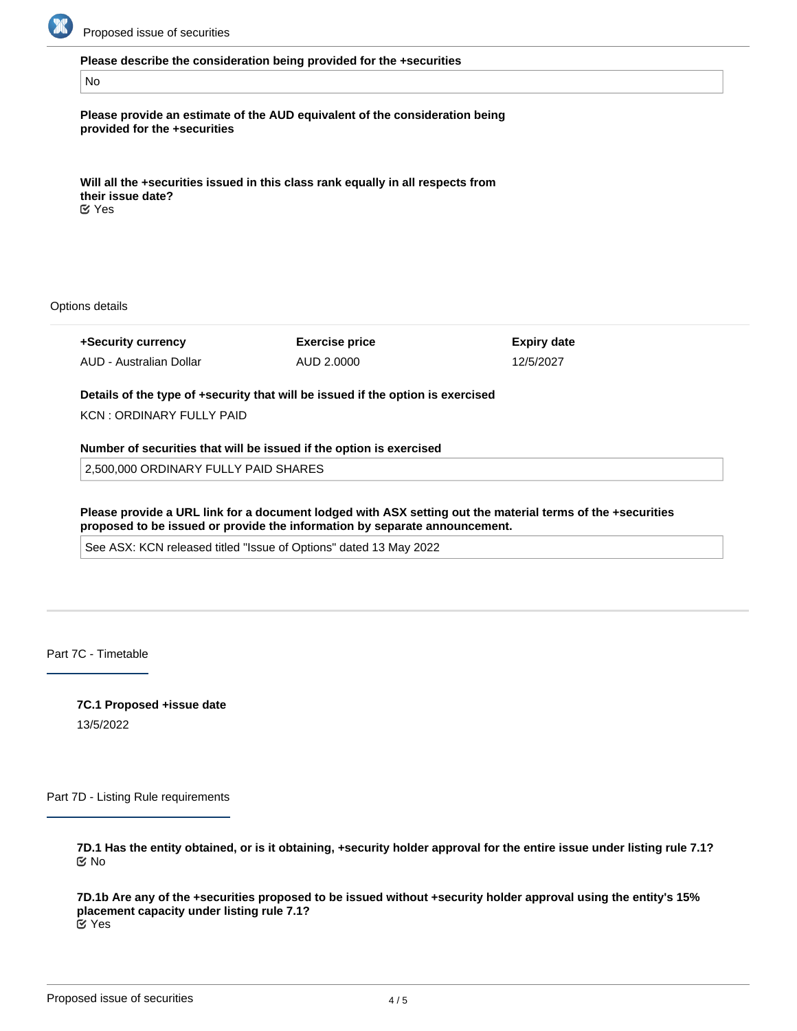

#### **Please describe the consideration being provided for the +securities**

### No

**Please provide an estimate of the AUD equivalent of the consideration being provided for the +securities**

**Will all the +securities issued in this class rank equally in all respects from their issue date?** Yes

Options details

**+Security currency**

AUD - Australian Dollar

**Exercise price** AUD 2.0000

**Expiry date** 12/5/2027

**Details of the type of +security that will be issued if the option is exercised**

KCN : ORDINARY FULLY PAID

## **Number of securities that will be issued if the option is exercised**

2,500,000 ORDINARY FULLY PAID SHARES

**Please provide a URL link for a document lodged with ASX setting out the material terms of the +securities proposed to be issued or provide the information by separate announcement.**

See ASX: KCN released titled "Issue of Options" dated 13 May 2022

Part 7C - Timetable

**7C.1 Proposed +issue date** 13/5/2022

Part 7D - Listing Rule requirements

**7D.1 Has the entity obtained, or is it obtaining, +security holder approval for the entire issue under listing rule 7.1?** No

**7D.1b Are any of the +securities proposed to be issued without +security holder approval using the entity's 15% placement capacity under listing rule 7.1?** Yes